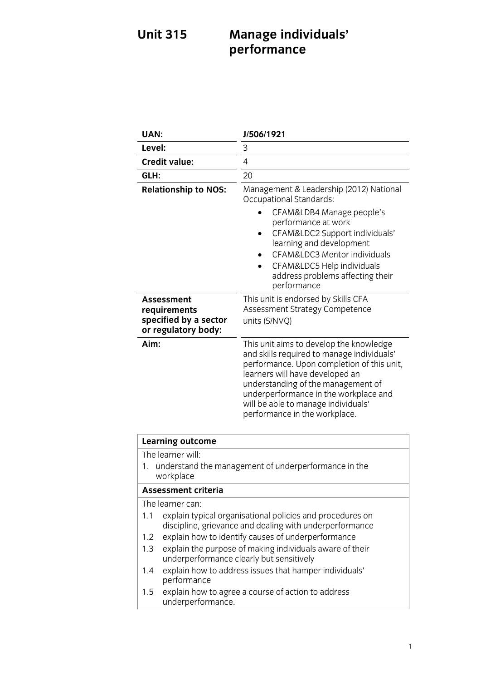# **Unit 315 Unit 315 Management 315 Management 315 performance**

| UAN:                                                                                                                                                                                                         | J/506/1921                                                                                                                                                                                                                                                                                                                    |
|--------------------------------------------------------------------------------------------------------------------------------------------------------------------------------------------------------------|-------------------------------------------------------------------------------------------------------------------------------------------------------------------------------------------------------------------------------------------------------------------------------------------------------------------------------|
| Level:                                                                                                                                                                                                       | 3                                                                                                                                                                                                                                                                                                                             |
| <b>Credit value:</b>                                                                                                                                                                                         | 4                                                                                                                                                                                                                                                                                                                             |
| GLH:                                                                                                                                                                                                         | 20                                                                                                                                                                                                                                                                                                                            |
| <b>Relationship to NOS:</b>                                                                                                                                                                                  | Management & Leadership (2012) National<br><b>Occupational Standards:</b><br>CFAM&LDB4 Manage people's<br>performance at work<br>CFAM&LDC2 Support individuals'<br>learning and development<br>CFAM&LDC3 Mentor individuals<br>CFAM&LDC5 Help individuals<br>address problems affecting their<br>performance                  |
| Assessment<br>requirements<br>specified by a sector<br>or regulatory body:                                                                                                                                   | This unit is endorsed by Skills CFA<br>Assessment Strategy Competence<br>units (S/NVQ)                                                                                                                                                                                                                                        |
| Aim:                                                                                                                                                                                                         | This unit aims to develop the knowledge<br>and skills required to manage individuals'<br>performance. Upon completion of this unit,<br>learners will have developed an<br>understanding of the management of<br>underperformance in the workplace and<br>will be able to manage individuals'<br>performance in the workplace. |
| <b>Learning outcome</b>                                                                                                                                                                                      |                                                                                                                                                                                                                                                                                                                               |
| The learner will:<br>understand the management of underperformance in the<br>1.<br>workplace                                                                                                                 |                                                                                                                                                                                                                                                                                                                               |
| <b>Assessment criteria</b>                                                                                                                                                                                   |                                                                                                                                                                                                                                                                                                                               |
| The learner can:<br>1.1<br>explain typical organisational policies and procedures on<br>discipline, grievance and dealing with underperformance<br>explain how to identify causes of underperformance<br>1.2 |                                                                                                                                                                                                                                                                                                                               |
| explain the purpose of making individuals aware of their<br>1.3<br>underperformance clearly but sensitively                                                                                                  |                                                                                                                                                                                                                                                                                                                               |

- $\n *u* = \frac{1}{2}$ n explore that has been the complete that has had
- $p^2$ 1.5 explain how to agree a course of action to additional underperformance.<br>Externe externe externe externe externe externe externe externe externe externe externe externe externe externe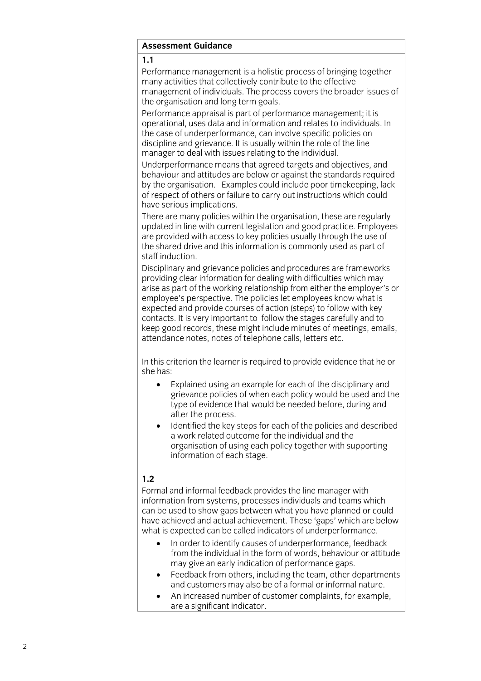### **Assessment Guidance Assessment Guidance**

Performance management is a holistic process of bringing together many activities that collectively contribute to the effective management of individuals. The process covers the broader issues of the organisation and long term goals.

Performance appraisal is part of performance management: it is operational, uses data and information and relates to individuals. In the case of underperformance, can involve specific policies on discipline and grievance. It is usually within the role of the line manager to deal with issues relating to the individual.

Underperformance means that agreed targets and objectives, and behaviour and attitudes are below or against the standards required by the organisation. Examples could include poor time keeping, lack of respect of others or failure to carry out instructions which could have serious implications.

There are many policies within the organisation, these are regularly updated in line with current legislation and good practice. Employees are provided with access to key policies usually through the use of the shared drive and this information is commonly used as part of staff induction.

Disciplinary and grievance policies and procedures are frameworks providing clear information for dealing with difficulties which may arise as part of the working relationship from either the employer's or employee's perspective. The policies let employees know what is expected and provide courses of action (steps) to follow with key contacts. It is very important to follow the stages carefully and to keep good records, these might include minutes of meetings, emails, attendance notes, notes of telephone calls, letters etc. attendance notes, notes of telephone calls, letters etc.

 $\sum_{i=1}^{n}$  the has:

- Explained using an example for each of the disciplinary and<br>grievance policies of when each policy would be used and the type of evidence that would be needed before, during and after the process.
- $\bullet$  Identified the key steps for each of the policies and described<br>a work related outcome for the individual and the a work related outcome for the individual and the<br>organisation of using each policy together with supporting information of each stage. information of each stage.

# $1.2$

Formal and informal feedback provides the line manager with information from systems, processes individuals and teams which can be used to show gaps between what you have planned or could have achieved and actual achievement. These 'gaps' which are below what is expected can be called indicators of underperformance.

- In order to identify causes of underperformance, feedback<br>from the individual in the form of words, behaviour or attitude may give an early indication of performance gaps.
- Feedback from others, including the team, other departments<br>and customers may also be of a formal or informal nature
- An increased number of customer complaints, for example, are a significant indicator are a significant indicator.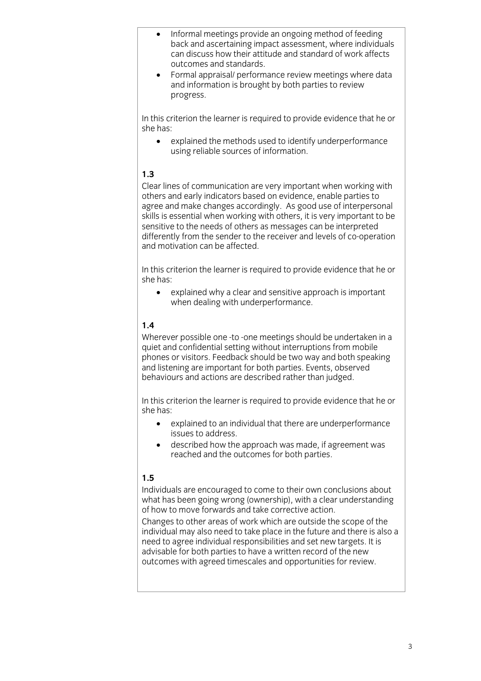- Informal meetings provide an ongoing method of feeding can discuss how their attitude and standard of work affects out comes and standards.
- Formal appraisal/ performance review meetings where data<br>and information is brought by both parties to review progress. progress.

In this criterion the learner is required to provide evidence that he or she has:

she has: explained the methods used to identify underperformance  $\mathbf{u}$ 

# $1.3$

Clear lines of communication are very important when working with others and early indicators based on evidence, enable parties to agree and make changes accordingly. As good use of interpersonal skills is essential when working with others, it is very important to be sensitive to the needs of others as messages can be interpreted differently from the sender to the receiver and levels of co-operation and motivation can be affected.

In this criterion the learner is required to provide evidence that he or she has:

she has: explained why a clear and sensitive approach is important when dealing with underperformance. when dealing with underperformance.

# $1.4$

Wherever possible one -to -one meetings should be undertaken in a quiet and confidential setting without interruptions from mobile phones or visitors. Feedback should be two way and both speaking and listening are important for both parties. Events, observed behaviours and actions are described rather than judged. behaviours and actions are described rather than judged.

In this criterion the learner is required to provide evidence that he or she has:

- $\bullet$ explained to an individual that there are underperformance issues to address.
- described how the approach was made, if agreement was reached and the outcomes for both parties reached and the outcomes for both parties.

# $1.5$

Individuals are encouraged to come to their own conclusions about what has been going wrong (ownership), with a clear understanding of how to move forwards and take corrective action.

Changes to other areas of work which are outside the scope of the individual may also need to take place in the future and there is also a need to agree individual responsibilities and set new targets. It is advisable for both parties to have a written record of the new outcomes with agreed timescales and opportunities for review outcomes with agreed timescales and opportunities for review.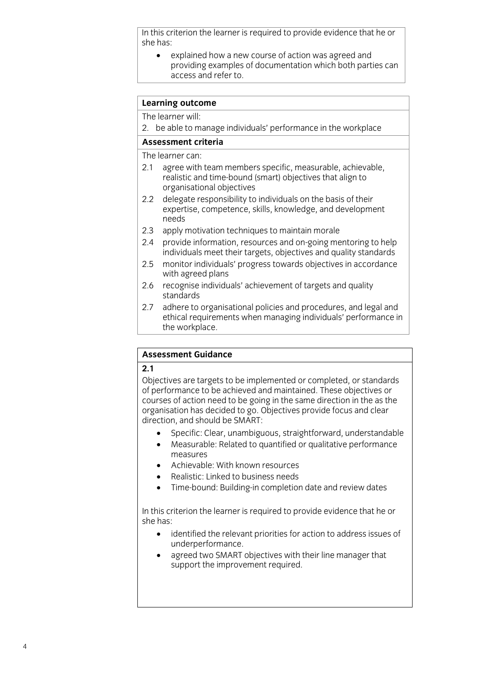In this criterion the learner is required to provide evidence that he or she has:

she has: explained how a new course of action was agreed and access and refer to. access and references and references

# **Learning outcome**<br>The learner will:

2. be able to manage individuals' performance in the workplace

## Assessment criteria

The learner can:

- 2.1 agree with team members specific, measurable, achievable, realistic and time-bound (smart) objectives that align to organisational objectives
- $2.2$ delegate responsibility to individuals on the basis of their expertise, competence, skills, knowledge, and development  $\frac{1}{2}$  expertise, competence, skills, competition of development  $\frac{1}{2}$  and development  $\frac{1}{2}$  and development  $\frac{1}{2}$  and development  $\frac{1}{2}$  and development  $\frac{1}{2}$  and development  $\frac{1}{2}$  and developme
- $2.3$ apply motivation techniques to maintain morale
- 2.4 provide information, resources and on-going mentoring to help individuals meet their targets, objectives and quality standards
- $2.5$ monitor individuals' progress towards objectives in accordance with agreed plans
- 2.6 recognise individuals' achievement of targets and quality standards
- adhere to organisational policies and procedures, and legal and  $2.7$ ethical requirements when managing individuals' performance in the workplace. the workplace.

## **Assessment Guidance Assessment Guidance**

Objectives are targets to be implemented or completed, or standards of performance to be achieved and maintained. These objectives or courses of action need to be going in the same direction in the as the organisation has decided to go. Objectives provide focus and clear direction, and should be SMART:

- onder<br>
Specific: Clear, unambiguous, straightforward, understandable<br>
A Measurable: Related to quantified or qualitative performance
	- Measurable: Related to quantified or qualitative performance
	- Achievable: With known resources
	- Realistic: Linked to business needs
	- Time-bound: Building-in completion date and review dates

 $\mathsf{S}$ he has required to provide evidence that he original to provide evidence that he original to provide evidence that he original to provide evidence that he original to provide evidence that he original to provide e

- $\bullet$ : identified the relevant priorities for action to address issues of
- agreed two SMART objectives with their line manager that<br>support the improvement required support the improvement required.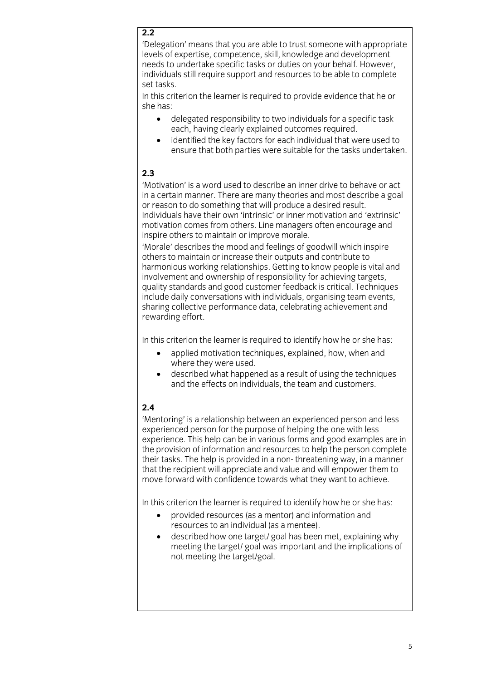# $\overline{2.2}$

'Delegation' means that you are able to trust someone with appropriate levels of expertise, competence, skill, knowledge and development needs to undertake specific tasks or duties on your behalf. However, individuals still require support and resources to be able to complete set tasks.

In this criterion the learner is required to provide evidence that he or she has:

- she has: delegated responsibility to two individuals for a specific task
	- identified the key factors for each individual that were used to identified the key factors for each individual that were used to ensure that both parties were suitable for the tasks undertaken.

# $2.3$

'Motivation' is a word used to describe an inner drive to behave or act in a certain manner. There are many theories and most describe a goal or reason to do something that will produce a desired result. Individuals have their own 'intrinsic' or inner motivation and 'extrinsic' motivation comes from others. Line managers often encourage and inspire others to maintain or improve morale.

'Morale' describes the mood and feelings of goodwill which inspire others to maintain or increase their outputs and contribute to harmonious working relationships. Getting to know people is vital and involvement and ownership of responsibility for achieving targets. quality standards and good customer feedback is critical. Techniques include daily conversations with individuals, organising team events. sharing collective performance data, celebrating achievement and rewarding effort. rewarding effort.

- applied motivation techniques, explained, how, when and<br>where they were used
	- described what happened as a result of using the techniques and the effects on individuals the team and customers and the effects on individuals, the team and customers.

# $2.4$

'Mentoring' is a relationship between an experienced person and less experienced person for the purpose of helping the one with less experience. This help can be in various forms and good examples are in the provision of information and resources to help the person complete their tasks. The help is provided in a non-threatening way, in a manner that the recipient will appreciate and value and will empower them to move forward with confidence towards what they want to achieve. move forward with confidence towards what they want to achieve.

- provided resources (as a mentor) and information and resources to an individual (as a mentee)
	- described how one target/ goal has been met, explaining why meeting the target/ goal was important and the implications of meeting the target/ goal was important and the implications of not meeting the target/goal. not meeting the target/goal.